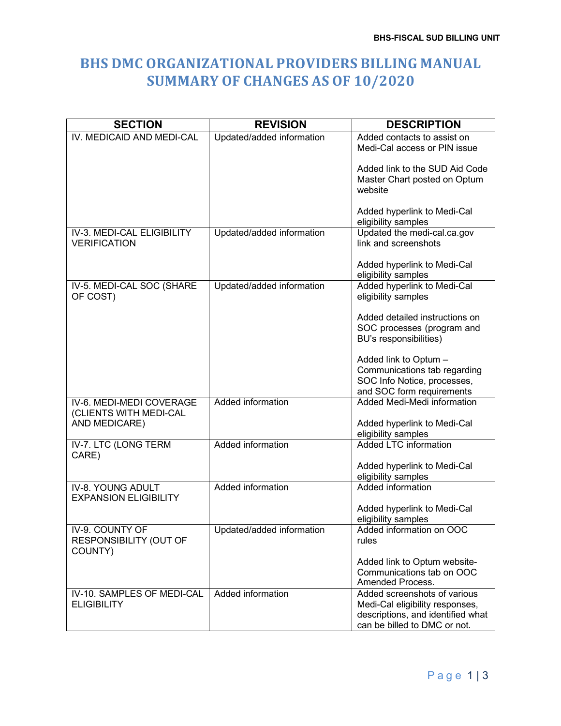## **BHS DMC ORGANIZATIONAL PROVIDERS BILLING MANUAL SUMMARY OF CHANGES AS OF 10/2020**

| <b>SECTION</b>                                                      | <b>REVISION</b>           | <b>DESCRIPTION</b>                                                                                                                   |
|---------------------------------------------------------------------|---------------------------|--------------------------------------------------------------------------------------------------------------------------------------|
| IV. MEDICAID AND MEDI-CAL                                           | Updated/added information | Added contacts to assist on<br>Medi-Cal access or PIN issue                                                                          |
|                                                                     |                           | Added link to the SUD Aid Code<br>Master Chart posted on Optum<br>website                                                            |
|                                                                     |                           | Added hyperlink to Medi-Cal<br>eligibility samples                                                                                   |
| IV-3. MEDI-CAL ELIGIBILITY<br><b>VERIFICATION</b>                   | Updated/added information | Updated the medi-cal.ca.gov<br>link and screenshots                                                                                  |
|                                                                     |                           | Added hyperlink to Medi-Cal<br>eligibility samples                                                                                   |
| IV-5. MEDI-CAL SOC (SHARE<br>OF COST)                               | Updated/added information | Added hyperlink to Medi-Cal<br>eligibility samples                                                                                   |
|                                                                     |                           | Added detailed instructions on<br>SOC processes (program and<br>BU's responsibilities)                                               |
|                                                                     |                           | Added link to Optum -<br>Communications tab regarding<br>SOC Info Notice, processes,<br>and SOC form requirements                    |
| IV-6. MEDI-MEDI COVERAGE<br>(CLIENTS WITH MEDI-CAL<br>AND MEDICARE) | <b>Added information</b>  | Added Medi-Medi information<br>Added hyperlink to Medi-Cal                                                                           |
|                                                                     |                           | eligibility samples                                                                                                                  |
| IV-7. LTC (LONG TERM<br>CARE)                                       | Added information         | <b>Added LTC information</b>                                                                                                         |
|                                                                     |                           | Added hyperlink to Medi-Cal<br>eligibility samples                                                                                   |
| IV-8. YOUNG ADULT<br><b>EXPANSION ELIGIBILITY</b>                   | Added information         | Added information                                                                                                                    |
|                                                                     |                           | Added hyperlink to Medi-Cal<br>eligibility samples                                                                                   |
| IV-9. COUNTY OF<br>RESPONSIBILITY (OUT OF<br>COUNTY)                | Updated/added information | Added information on OOC<br>rules                                                                                                    |
|                                                                     |                           | Added link to Optum website-<br>Communications tab on OOC<br>Amended Process.                                                        |
| IV-10. SAMPLES OF MEDI-CAL<br><b>ELIGIBILITY</b>                    | Added information         | Added screenshots of various<br>Medi-Cal eligibility responses,<br>descriptions, and identified what<br>can be billed to DMC or not. |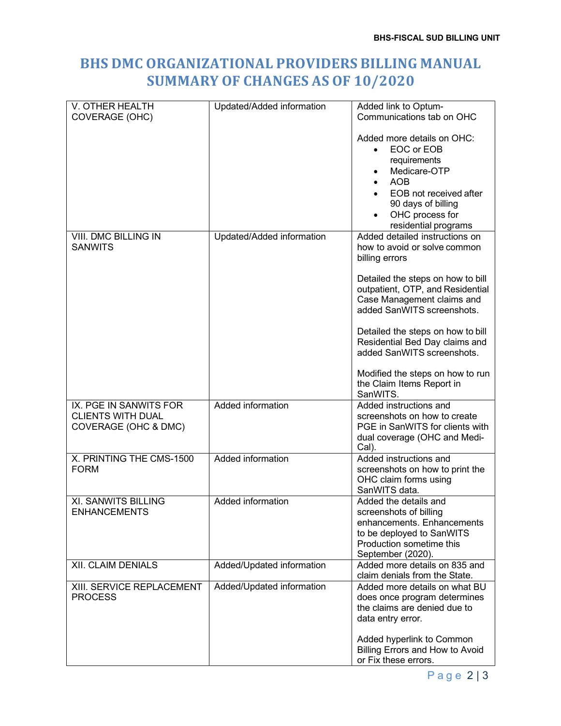## **BHS DMC ORGANIZATIONAL PROVIDERS BILLING MANUAL SUMMARY OF CHANGES AS OF 10/2020**

| V. OTHER HEALTH                        | Updated/Added information | Added link to Optum-                                           |
|----------------------------------------|---------------------------|----------------------------------------------------------------|
| COVERAGE (OHC)                         |                           | Communications tab on OHC                                      |
|                                        |                           |                                                                |
|                                        |                           | Added more details on OHC:<br>EOC or EOB<br>$\bullet$          |
|                                        |                           | requirements                                                   |
|                                        |                           | Medicare-OTP                                                   |
|                                        |                           | <b>AOB</b>                                                     |
|                                        |                           | EOB not received after                                         |
|                                        |                           | 90 days of billing                                             |
|                                        |                           | OHC process for                                                |
|                                        |                           | residential programs                                           |
| VIII. DMC BILLING IN<br><b>SANWITS</b> | Updated/Added information | Added detailed instructions on<br>how to avoid or solve common |
|                                        |                           | billing errors                                                 |
|                                        |                           |                                                                |
|                                        |                           | Detailed the steps on how to bill                              |
|                                        |                           | outpatient, OTP, and Residential                               |
|                                        |                           | Case Management claims and<br>added SanWITS screenshots.       |
|                                        |                           |                                                                |
|                                        |                           | Detailed the steps on how to bill                              |
|                                        |                           | Residential Bed Day claims and                                 |
|                                        |                           | added SanWITS screenshots.                                     |
|                                        |                           | Modified the steps on how to run                               |
|                                        |                           | the Claim Items Report in                                      |
| IX. PGE IN SANWITS FOR                 | <b>Added information</b>  | SanWITS.<br>Added instructions and                             |
| <b>CLIENTS WITH DUAL</b>               |                           | screenshots on how to create                                   |
| COVERAGE (OHC & DMC)                   |                           | PGE in SanWITS for clients with                                |
|                                        |                           | dual coverage (OHC and Medi-                                   |
|                                        |                           | Cal).                                                          |
| X. PRINTING THE CMS-1500               | Added information         | Added instructions and                                         |
| <b>FORM</b>                            |                           | screenshots on how to print the<br>OHC claim forms using       |
|                                        |                           | SanWITS data.                                                  |
| XI. SANWITS BILLING                    | Added information         | Added the details and                                          |
| <b>ENHANCEMENTS</b>                    |                           | screenshots of billing                                         |
|                                        |                           | enhancements. Enhancements                                     |
|                                        |                           | to be deployed to SanWITS<br>Production sometime this          |
|                                        |                           | September (2020).                                              |
| <b>XII. CLAIM DENIALS</b>              | Added/Updated information | Added more details on 835 and                                  |
|                                        |                           | claim denials from the State.                                  |
| XIII. SERVICE REPLACEMENT              | Added/Updated information | Added more details on what BU                                  |
| <b>PROCESS</b>                         |                           | does once program determines<br>the claims are denied due to   |
|                                        |                           | data entry error.                                              |
|                                        |                           |                                                                |
|                                        |                           | Added hyperlink to Common                                      |
|                                        |                           | Billing Errors and How to Avoid<br>or Fix these errors.        |